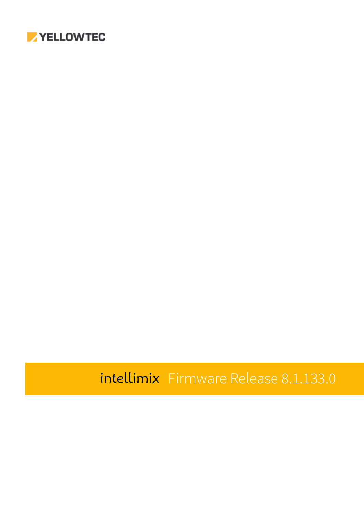

# intellimix Firmware Release 8.1.133.0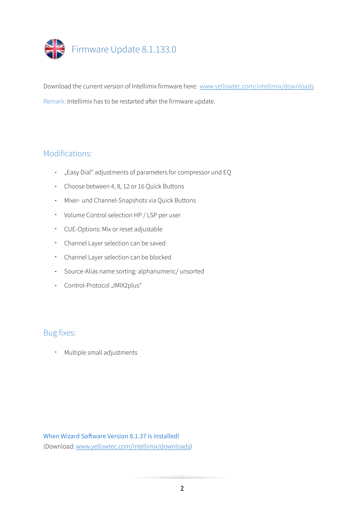

Download the current version of Intellimix firmware here: [www.yellowtec.com/intellimix/downloads](http://www.yellowtec.com/intellimix/downloads) Remark: Intellimix has to be restarted after the firmware update.

#### Modifications:

- "Easy Dial" adjustments of parameters for compressor und EQ
- Choose between 4, 8, 12 or 16 Quick Buttons
- Mixer- und Channel-Snapshots via Quick Buttons
- Volume Control selection HP / LSP per user
- CUE-Options: Mix or reset adjustable
- Channel Layer selection can be saved
- Channel Layer selection can be blocked
- Source-Alias name sorting: alphanumeric/ unsorted
- Control-Protocol "IMIX2plus"

#### Bug fixes:

- Multiple small adjustments

#### When Wizard Software Version 8.1.37 is installed!

(Download: [www.yellowtec.com/intellimix/downloads\)](http://www.yellowtec.com/intellimix/downloads)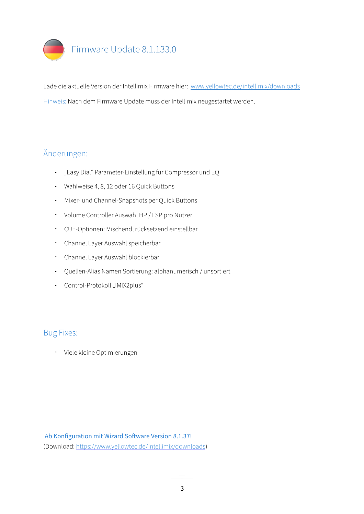

Lade die aktuelle Version der Intellimix Firmware hier: [www.yellowtec.de/intellimix/downloads](https://www.yellowtec.de/intellimix/downloads) Hinweis: Nach dem Firmware Update muss der Intellimix neugestartet werden.

## Änderungen:

- "Easy Dial" Parameter-Einstellung für Compressor und EQ
- Wahlweise 4, 8, 12 oder 16 Quick Buttons
- Mixer- und Channel-Snapshots per Quick Buttons
- Volume Controller Auswahl HP / LSP pro Nutzer
- CUE-Optionen: Mischend, rücksetzend einstellbar
- Channel Layer Auswahl speicherbar
- Channel Layer Auswahl blockierbar
- Quellen-Alias Namen Sortierung: alphanumerisch / unsortiert
- Control-Protokoll "IMIX2plus"

#### Bug Fixes:

- Viele kleine Optimierungen

#### Ab Konfiguration mit Wizard Software Version 8.1.37!

(Download: [https://www.yellowtec.de/intellimix/downloads\)](https://www.yellowtec.de/intellimix/downloads)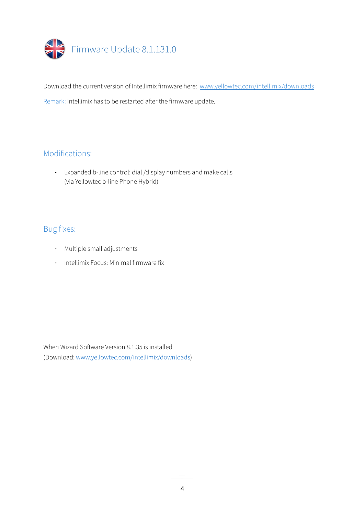

Download the current version of Intellimix firmware here: [www.yellowtec.com/intellimix/downloads](http://www.yellowtec.com/intellimix/downloads) Remark: Intellimix has to be restarted after the firmware update.

## Modifications:

- Expanded b-line control: dial /display numbers and make calls (via Yellowtec b-line Phone Hybrid)

### Bug fixes:

- Multiple small adjustments
- Intellimix Focus: Minimal firmware fix

When Wizard Sofware Version 8.1.35 is installed (Download: [www.yellowtec.com/intellimix/downloads\)](http://www.yellowtec.com/intellimix/downloads)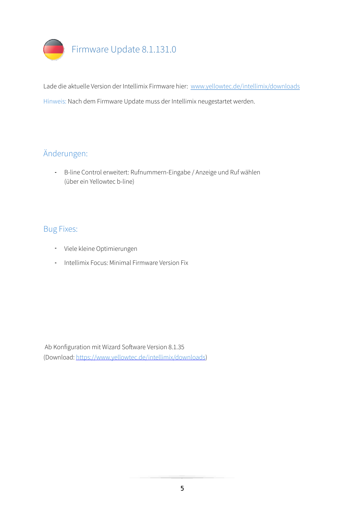

Lade die aktuelle Version der Intellimix Firmware hier: [www.yellowtec.de/intellimix/downloads](https://www.yellowtec.de/intellimix/downloads) Hinweis: Nach dem Firmware Update muss der Intellimix neugestartet werden.

## Änderungen:

- B-line Control erweitert: Rufnummern-Eingabe / Anzeige und Ruf wählen (über ein Yellowtec b-line)

#### Bug Fixes:

- Viele kleine Optimierungen
- Intellimix Focus: Minimal Firmware Version Fix

Ab Konfiguration mit Wizard Sofware Version 8.1.35 (Download: [https://www.yellowtec.de/intellimix/downloads\)](https://www.yellowtec.de/intellimix/downloads)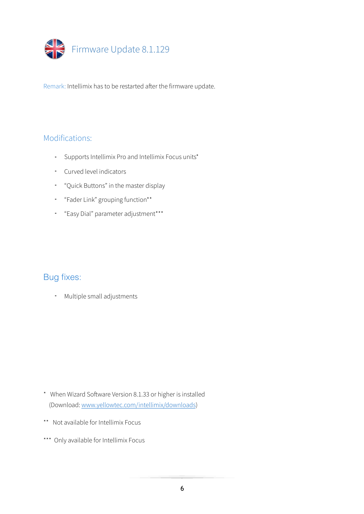

#### Modifications:

- Supports Intellimix Pro and Intellimix Focus units\*
- Curved level indicators
- "Quick Buttons" in the master display
- "Fader Link" grouping function\*\*
- "Easy Dial" parameter adjustment\*\*\*

#### Bug fixes:

- Multiple small adjustments

- \* When Wizard Sofware Version 8.1.33 or higher is installed (Download: [www.yellowtec.com/intellimix/downloads\)](http://www.yellowtec.com/intellimix/downloads)
- \*\* Not available for Intellimix Focus
- \*\*\* Only available for Intellimix Focus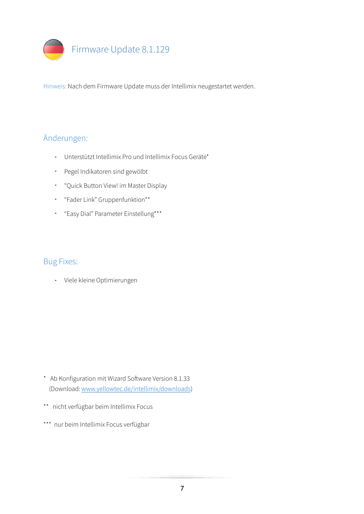

## Änderungen:

- Unterstützt Intellimix Pro und Intellimix Focus Geräte\*
- Pegel Indikatoren sind gewölbt
- "Quick Button View! im Master Display
- "Fader Link" Gruppenfunktion\*\*
- "Easy Dial" Parameter Einstellung\*\*\*

#### Bug Fixes:

- Viele kleine Optimierungen

- \* Ab Konfiguration mit Wizard Sofware Version 8.1.33 (Download: [www.yellowtec.de/intellimix/downloads](http://www.yellowtec.de/intellimix/downloads))
- \*\* nicht verfügbar beim Intellimix Focus
- \*\*\* nur beim Intellimix Focus verfügbar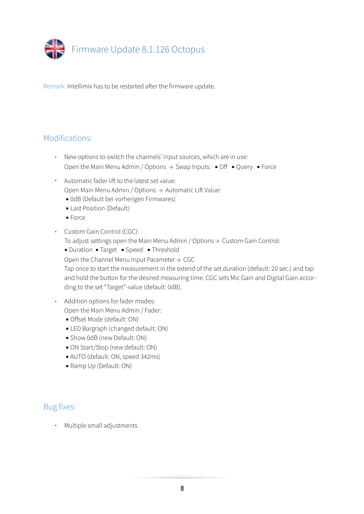

#### Modifications:

- New options to switch the channels' input sources, which are in use: Open the Main Menu Admin / Options  $\rightarrow$  Swap Inputs:  $\bullet$  Off  $\bullet$  Query  $\bullet$  Force
- Automatic fader lift to the latest set value: Open Main Menu Admin / Options  $\rightarrow$  Automatic Lift Value:
	- 0dB (Default bei vorherigen Firmwares)
	- **Last Position (Default)**
	- Force
- Custom Gain Control (CGC):

To adjust settings open the Main Menu Admin / Options  $\rightarrow$  Custom Gain Control:

■ Duration ■ Target ■ Speed ■ Threshold

Open the Channel Menu Input Parameter  $\rightarrow$  CGC

Tap once to start the measurement in the extend of the set duration (default: 20 sec.) and tap and hold the button for the desired measuring time. CGC sets Mic Gain and Digital Gain according to the set "Target"-value (default: 0dB).

- Addition options for fader modes: Open the Main Menu Admin / Fader:
	- **Offset Mode (default: ON)**
	- **ELED Bargraph (changed default: ON)**
	- **Show 0dB (new Default: ON)**
	- ON Start/Stop (new default: ON)
	- AUTO (default: ON, speed 342ms)
	- Ramp Up (Default: ON)

#### Bug fixes:

- Multiple small adjustments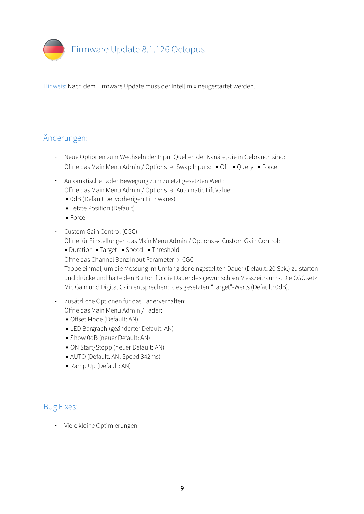

## Änderungen:

- Neue Optionen zum Wechseln der Input Quellen der Kanäle, die in Gebrauch sind: Öffne das Main Menu Admin / Options  $\rightarrow$  Swap Inputs: ■ Off ■ Query ■ Force
- Automatische Fader Bewegung zum zuletzt gesetzten Wert: Öffne das Main Menu Admin / Options  $\rightarrow$  Automatic Lift Value:
	- 0dB (Default bei vorherigen Firmwares)
	- **E** Letzte Position (Default)
	- Force
- Custom Gain Control (CGC):

Öffne für Einstellungen das Main Menu Admin / Options → Custom Gain Control:

■ Duration ■ Target ■ Speed ■ Threshold

Öffne das Channel Benz Input Parameter → CGC

Tappe einmal, um die Messung im Umfang der eingestellten Dauer (Default: 20 Sek.) zu starten und drücke und halte den Button für die Dauer des gewünschten Messzeitraums. Die CGC setzt Mic Gain und Digital Gain entsprechend des gesetzten "Target"-Werts (Default: 0dB).

- Zusätzliche Optionen für das Faderverhalten:

Öffne das Main Menu Admin / Fader:

- Offset Mode (Default: AN)
- LED Bargraph (geänderter Default: AN)
- **Show 0dB (neuer Default: AN)**
- ON Start/Stopp (neuer Default: AN)
- AUTO (Default: AN, Speed 342ms)
- Ramp Up (Default: AN)

#### Bug Fixes:

- Viele kleine Optimierungen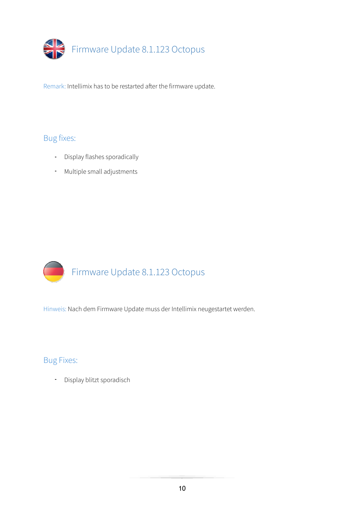

## Bug fixes:

- Display flashes sporadically
- Multiple small adjustments



Hinweis: Nach dem Firmware Update muss der Intellimix neugestartet werden.

#### Bug Fixes:

- Display blitzt sporadisch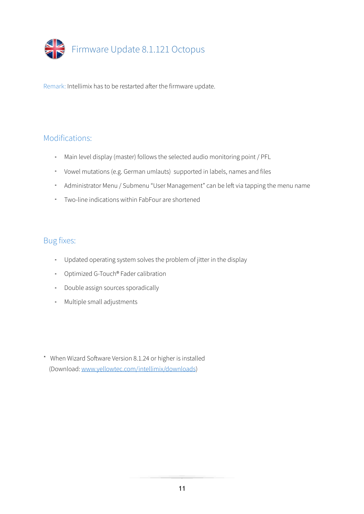

#### Modifications:

- Main level display (master) follows the selected audio monitoring point / PFL
- Vowel mutations (e.g. German umlauts) supported in labels, names and files
- Administrator Menu / Submenu "User Management" can be left via tapping the menu name
- Two-line indications within FabFour are shortened

- Updated operating system solves the problem of jitter in the display
- Optimized G-Touch® Fader calibration
- Double assign sources sporadically
- Multiple small adjustments

<sup>\*</sup> When Wizard Sofware Version 8.1.24 or higher is installed (Download: [www.yellowtec.com/intellimix/downloads\)](http://www.yellowtec.com/intellimix/downloads)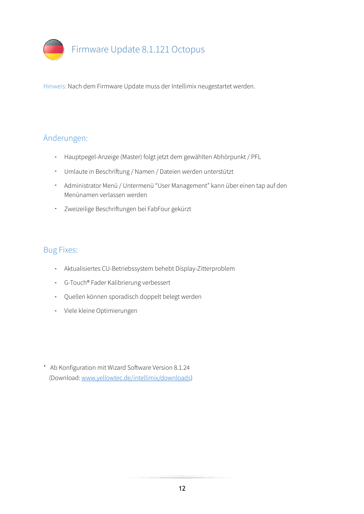

# Änderungen:

- Hauptpegel-Anzeige (Master) folgt jetzt dem gewählten Abhörpunkt / PFL
- Umlaute in Beschrifung / Namen / Dateien werden unterstützt
- Administrator Menü / Untermenü "User Management" kann über einen tap auf den Menünamen verlassen werden
- Zweizeilige Beschrifungen bei FabFour gekürzt

- Aktualisiertes CU-Betriebssystem behebt Display-Zitterproblem
- G-Touch® Fader Kalibrierung verbessert
- Quellen können sporadisch doppelt belegt werden
- Viele kleine Optimierungen
- \* Ab Konfiguration mit Wizard Sofware Version 8.1.24 (Download: [www.yellowtec.de/intellimix/downloads](http://www.yellowtec.de/intellimix/downloads))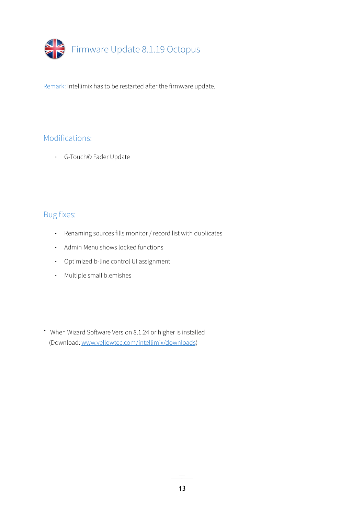

## Modifications:

- G-Touch© Fader Update

- Renaming sources fills monitor / record list with duplicates
- Admin Menu shows locked functions
- Optimized b-line control UI assignment
- Multiple small blemishes
- \* When Wizard Sofware Version 8.1.24 or higher is installed (Download: [www.yellowtec.com/intellimix/downloads\)](http://www.yellowtec.com/intellimix/downloads)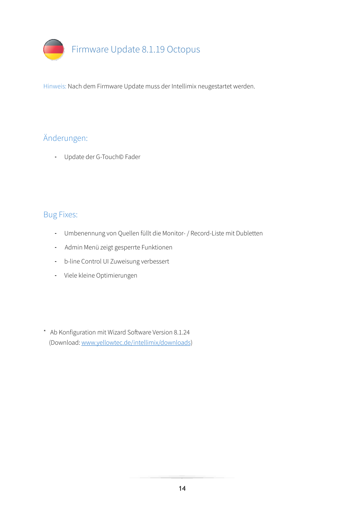

# Änderungen:

- Update der G-Touch© Fader

- Umbenennung von Quellen füllt die Monitor- / Record-Liste mit Dubletten
- Admin Menü zeigt gesperrte Funktionen
- b-line Control UI Zuweisung verbessert
- Viele kleine Optimierungen
- \* Ab Konfiguration mit Wizard Sofware Version 8.1.24 (Download: [www.yellowtec.de/intellimix/downloads](http://www.yellowtec.de/intellimix/downloads))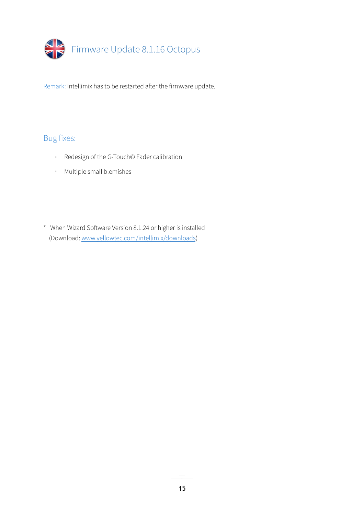

- Redesign of the G-Touch© Fader calibration
- Multiple small blemishes
- \* When Wizard Sofware Version 8.1.24 or higher is installed (Download: [www.yellowtec.com/intellimix/downloads\)](http://www.yellowtec.com/intellimix/downloads)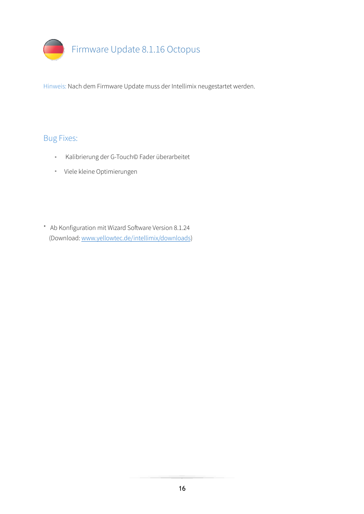

- Kalibrierung der G-Touch© Fader überarbeitet
- Viele kleine Optimierungen
- \* Ab Konfiguration mit Wizard Sofware Version 8.1.24 (Download: [www.yellowtec.de/intellimix/downloads](http://www.yellowtec.de/intellimix/downloads))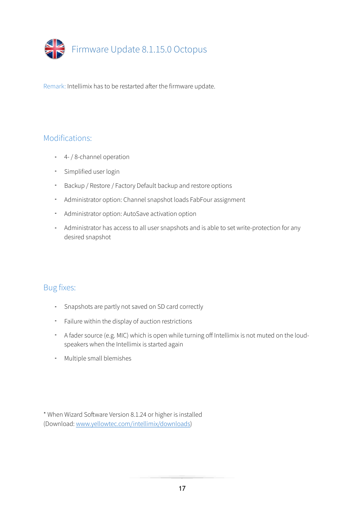

#### Modifications:

- 4- / 8-channel operation
- Simplified user login
- Backup / Restore / Factory Default backup and restore options
- Administrator option: Channel snapshot loads FabFour assignment
- Administrator option: AutoSave activation option
- Administrator has access to all user snapshots and is able to set write-protection for any desired snapshot

#### Bug fixes:

- Snapshots are partly not saved on SD card correctly
- Failure within the display of auction restrictions
- A fader source (e.g. MIC) which is open while turning off Intellimix is not muted on the loudspeakers when the Intellimix is started again
- Multiple small blemishes

\* When Wizard Sofware Version 8.1.24 or higher is installed (Download: [www.yellowtec.com/intellimix/downloads\)](http://www.yellowtec.com/intellimix/downloads)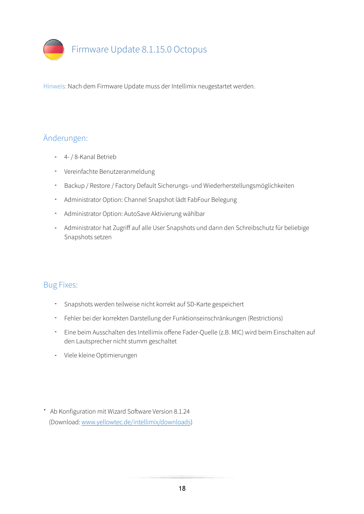

## Änderungen:

- 4- / 8-Kanal Betrieb
- Vereinfachte Benutzeranmeldung
- Backup / Restore / Factory Default Sicherungs- und Wiederherstellungsmöglichkeiten
- Administrator Option: Channel Snapshot lädt FabFour Belegung
- Administrator Option: AutoSave Aktivierung wählbar
- Administrator hat Zugriff auf alle User Snapshots und dann den Schreibschutz für beliebige Snapshots setzen

- Snapshots werden teilweise nicht korrekt auf SD-Karte gespeichert
- Fehler bei der korrekten Darstellung der Funktionseinschränkungen (Restrictions)
- Eine beim Ausschalten des Intellimix offene Fader-Quelle (z.B. MIC) wird beim Einschalten auf den Lautsprecher nicht stumm geschaltet
- Viele kleine Optimierungen
- \* Ab Konfiguration mit Wizard Sofware Version 8.1.24 (Download: [www.yellowtec.de/intellimix/downloads](http://www.yellowtec.de/intellimix/downloads))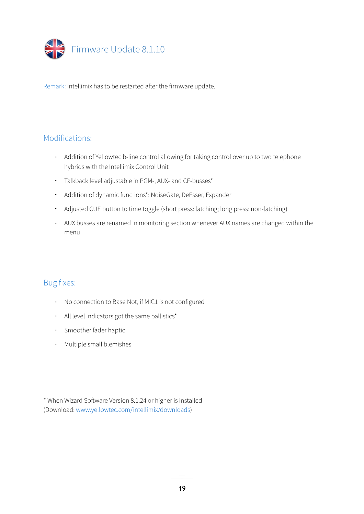

#### Modifications:

- Addition of Yellowtec b-line control allowing for taking control over up to two telephone hybrids with the Intellimix Control Unit
- Talkback level adjustable in PGM-, AUX- and CF-busses\*
- Addition of dynamic functions\*: NoiseGate, DeEsser, Expander
- Adjusted CUE button to time toggle (short press: latching; long press: non-latching)
- AUX busses are renamed in monitoring section whenever AUX names are changed within the menu

#### Bug fixes:

- No connection to Base Not, if MIC1 is not configured
- All level indicators got the same ballistics\*
- Smoother fader haptic
- Multiple small blemishes

\* When Wizard Sofware Version 8.1.24 or higher is installed (Download: [www.yellowtec.com/intellimix/downloads\)](http://www.yellowtec.com/intellimix/downloads)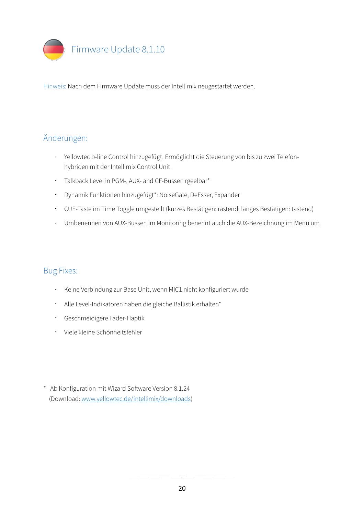

## Änderungen:

- Yellowtec b-line Control hinzugefügt. Ermöglicht die Steuerung von bis zu zwei Telefonhybriden mit der Intellimix Control Unit.
- Talkback Level in PGM-, AUX- and CF-Bussen rgeelbar\*
- Dynamik Funktionen hinzugefügt\*: NoiseGate, DeEsser, Expander
- CUE-Taste im Time Toggle umgestellt (kurzes Bestätigen: rastend; langes Bestätigen: tastend)
- Umbenennen von AUX-Bussen im Monitoring benennt auch die AUX-Bezeichnung im Menü um

- Keine Verbindung zur Base Unit, wenn MIC1 nicht konfiguriert wurde
- Alle Level-Indikatoren haben die gleiche Ballistik erhalten\*
- Geschmeidigere Fader-Haptik
- Viele kleine Schönheitsfehler
- \* Ab Konfiguration mit Wizard Sofware Version 8.1.24 (Download: [www.yellowtec.de/intellimix/downloads](http://www.yellowtec.de/intellimix/downloads))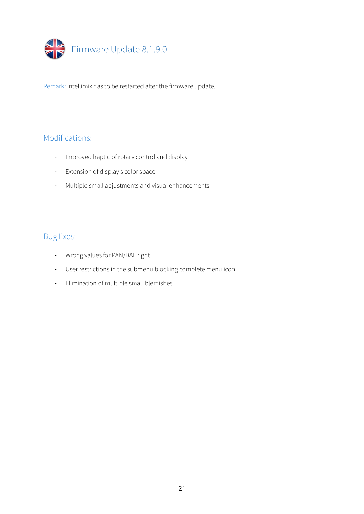

## Modifications:

- Improved haptic of rotary control and display
- Extension of display's color space
- Multiple small adjustments and visual enhancements

- Wrong values for PAN/BAL right
- User restrictions in the submenu blocking complete menu icon
- Elimination of multiple small blemishes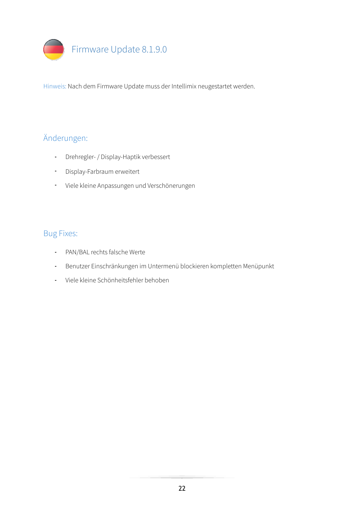

## Änderungen:

- Drehregler- / Display-Haptik verbessert
- Display-Farbraum erweitert
- Viele kleine Anpassungen und Verschönerungen

- PAN/BAL rechts falsche Werte
- Benutzer Einschränkungen im Untermenü blockieren kompletten Menüpunkt
- Viele kleine Schönheitsfehler behoben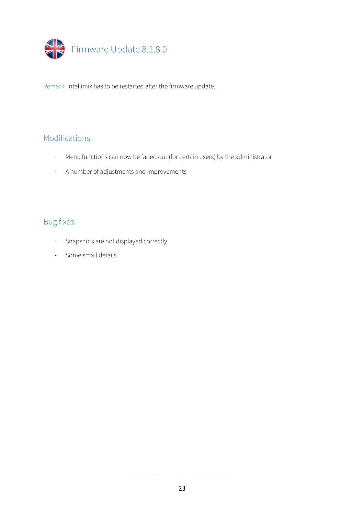

#### Modifications:

- Menu functions can now be faded out (for certain users) by the administrator
- A number of adjustments and improvements

- Snapshots are not displayed correctly
- Some small details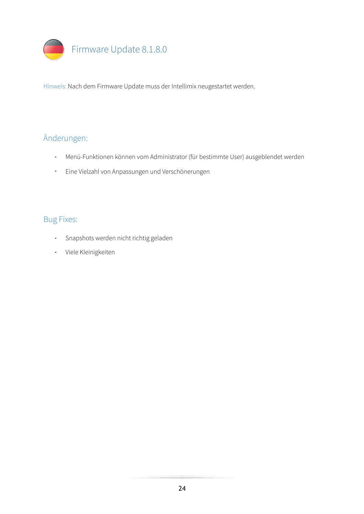

## Änderungen:

- Menü-Funktionen können vom Administrator (für bestimmte User) ausgeblendet werden
- Eine Vielzahl von Anpassungen und Verschönerungen

- Snapshots werden nicht richtig geladen
- Viele Kleinigkeiten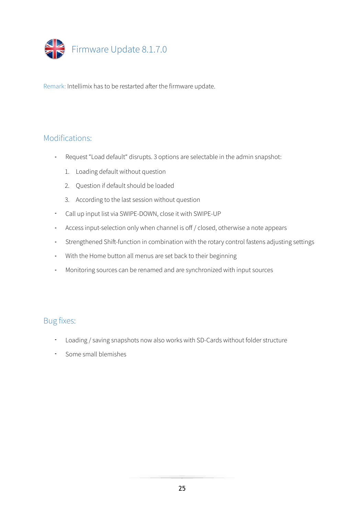

#### Modifications:

- Request "Load default" disrupts. 3 options are selectable in the admin snapshot:
	- 1. Loading default without question
	- 2. Question if default should be loaded
	- 3. According to the last session without question
- Call up input list via SWIPE-DOWN, close it with SWIPE-UP
- Access input-selection only when channel is off / closed, otherwise a note appears
- Strengthened Shift-function in combination with the rotary control fastens adjusting settings
- With the Home button all menus are set back to their beginning
- Monitoring sources can be renamed and are synchronized with input sources

- Loading / saving snapshots now also works with SD-Cards without folder structure
- Some small blemishes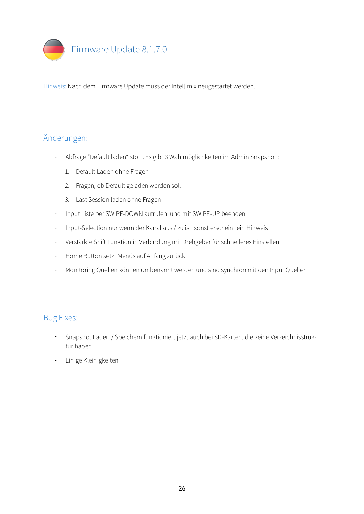

## Änderungen:

- Abfrage "Default laden" stört. Es gibt 3 Wahlmöglichkeiten im Admin Snapshot :
	- 1. Default Laden ohne Fragen
	- 2. Fragen, ob Default geladen werden soll
	- 3. Last Session laden ohne Fragen
- Input Liste per SWIPE-DOWN aufrufen, und mit SWIPE-UP beenden
- Input-Selection nur wenn der Kanal aus / zu ist, sonst erscheint ein Hinweis
- Verstärkte Shift Funktion in Verbindung mit Drehgeber für schnelleres Einstellen
- Home Button setzt Menüs auf Anfang zurück
- Monitoring Quellen können umbenannt werden und sind synchron mit den Input Quellen

- Snapshot Laden / Speichern funktioniert jetzt auch bei SD-Karten, die keine Verzeichnisstruktur haben
- Einige Kleinigkeiten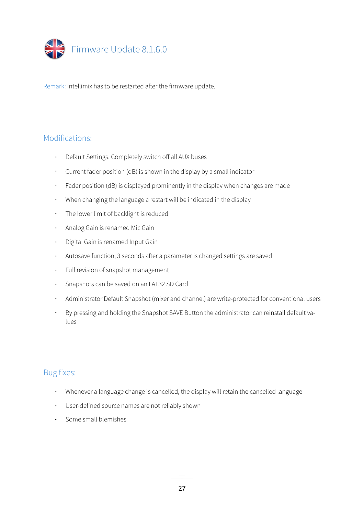

#### Modifications:

- Default Settings. Completely switch off all AUX buses
- Current fader position (dB) is shown in the display by a small indicator
- Fader position (dB) is displayed prominently in the display when changes are made
- When changing the language a restart will be indicated in the display
- The lower limit of backlight is reduced
- Analog Gain is renamed Mic Gain
- Digital Gain is renamed Input Gain
- Autosave function, 3 seconds after a parameter is changed settings are saved
- Full revision of snapshot management
- Snapshots can be saved on an FAT32 SD Card
- Administrator Default Snapshot (mixer and channel) are write-protected for conventional users
- By pressing and holding the Snapshot SAVE Button the administrator can reinstall default values

- Whenever a language change is cancelled, the display will retain the cancelled language
- User-defined source names are not reliably shown
- Some small blemishes